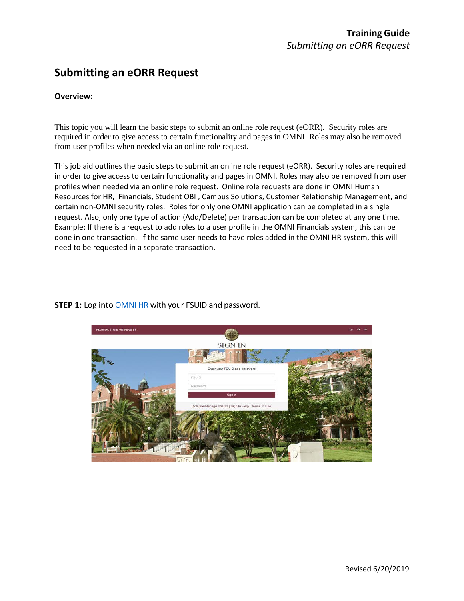# **Submitting an eORR Request**

#### **Overview:**

This topic you will learn the basic steps to submit an online role request (eORR). Security roles are required in order to give access to certain functionality and pages in OMNI. Roles may also be removed from user profiles when needed via an online role request.

This job aid outlines the basic steps to submit an online role request (eORR). Security roles are required in order to give access to certain functionality and pages in OMNI. Roles may also be removed from user profiles when needed via an online role request. Online role requests are done in OMNI Human Resources for HR, Financials, Student OBI , Campus Solutions, Customer Relationship Management, and certain non-OMNI security roles. Roles for only one OMNI application can be completed in a single request. Also, only one type of action (Add/Delete) per transaction can be completed at any one time. Example: If there is a request to add roles to a user profile in the OMNI Financials system, this can be done in one transaction. If the same user needs to have roles added in the OMNI HR system, this will need to be requested in a separate transaction.



#### **STEP 1:** Log into [OMNI HR](https://www.my.fsu.edu/) with your FSUID and password.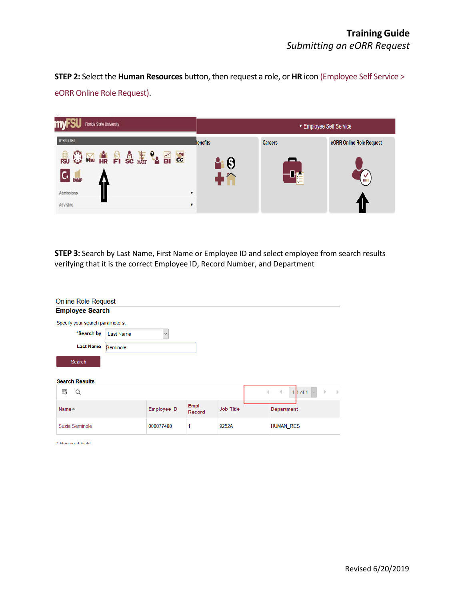**STEP 2:** Select the **Human Resources** button, then request a role, or **HR** icon (Employee Self Service > eORR Online Role Request).



**STEP 3:** Search by Last Name, First Name or Employee ID and select employee from search results verifying that it is the correct Employee ID, Record Number, and Department

| <b>Online Role Request</b>      |                  |                    |                |                  |              |                  |                    |
|---------------------------------|------------------|--------------------|----------------|------------------|--------------|------------------|--------------------|
| <b>Employee Search</b>          |                  |                    |                |                  |              |                  |                    |
| Specify your search parameters. |                  |                    |                |                  |              |                  |                    |
| *Search by                      | <b>Last Name</b> | $\checkmark$       |                |                  |              |                  |                    |
| <b>Last Name</b>                | Seminole         |                    |                |                  |              |                  |                    |
| Search                          |                  |                    |                |                  |              |                  |                    |
| <b>Search Results</b>           |                  |                    |                |                  |              |                  |                    |
| 国<br>Q                          |                  |                    |                |                  | $\mathbb{R}$ | $1-1$ of 1<br>∢  | Þ<br>$\mathbb{D}%$ |
| Name≜                           |                  | <b>Employee ID</b> | Empl<br>Record | <b>Job Title</b> |              | Department       |                    |
| Suzie Seminole                  |                  | 000077488          | 1              | 9252A            |              | <b>HUMAN_RES</b> |                    |

\* Required Field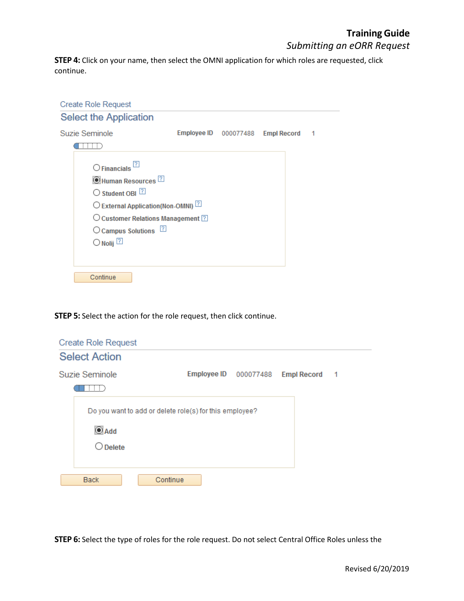### **TrainingGuide**  *Submitting an eORR Request*

**STEP 4:** Click on your name, then select the OMNI application for which roles are requested, click continue.

| <b>Create Role Request</b>                                                                                                                                                                                                                                                               |                              |                    |   |
|------------------------------------------------------------------------------------------------------------------------------------------------------------------------------------------------------------------------------------------------------------------------------------------|------------------------------|--------------------|---|
| <b>Select the Application</b>                                                                                                                                                                                                                                                            |                              |                    |   |
| Suzie Seminole                                                                                                                                                                                                                                                                           | <b>Employee ID</b> 000077488 | <b>Empl Record</b> | 1 |
| 11 L                                                                                                                                                                                                                                                                                     |                              |                    |   |
| $\bigcirc$ Financials $^{[2]}$<br>C Human Resources <sup>[7]</sup><br>$\bigcirc$ Student OBI $\boxed{?}$<br>O External Application(Non-OMNI) <sup>[2]</sup><br>$\bigcirc$ Customer Relations Management $\boxed{?}$<br>O Campus Solutions <sup>[7]</sup><br>$\bigcirc$ Nolij $\boxed{?}$ |                              |                    |   |

**STEP 5:** Select the action for the role request, then click continue.

| <b>Create Role Request</b>                                                                  |  |                                   |                |
|---------------------------------------------------------------------------------------------|--|-----------------------------------|----------------|
| <b>Select Action</b>                                                                        |  |                                   |                |
| Suzie Seminole                                                                              |  | Employee ID 000077488 Empl Record | $\overline{1}$ |
| Do you want to add or delete role(s) for this employee?<br>$\odot$ Add<br>$\bigcirc$ Delete |  |                                   |                |
| <b>Back</b><br>Continue                                                                     |  |                                   |                |

**STEP 6:** Select the type of roles for the role request. Do not select Central Office Roles unless the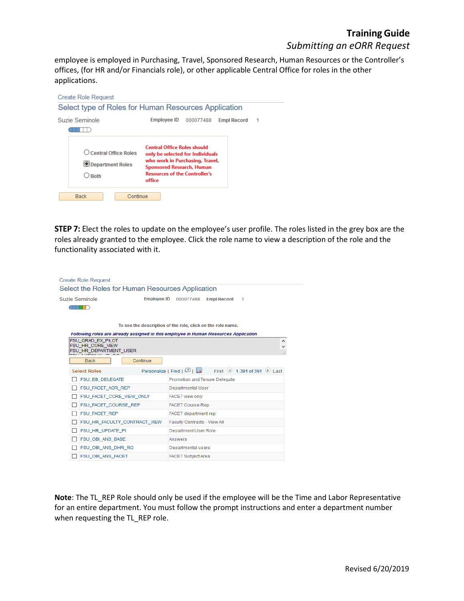## **TrainingGuide**  *Submitting an eORR Request*

employee is employed in Purchasing, Travel, Sponsored Research, Human Resources or the Controller's offices, (for HR and/or Financials role), or other applicable Central Office for roles in the other applications.



**STEP 7:** Elect the roles to update on the employee's user profile. The roles listed in the grey box are the roles already granted to the employee. Click the role name to view a description of the role and the functionality associated with it.

|                | <b>Create Role Request</b>                   |                                                             |                                      |                                                                                      |   |
|----------------|----------------------------------------------|-------------------------------------------------------------|--------------------------------------|--------------------------------------------------------------------------------------|---|
|                |                                              | Select the Roles for Human Resources Application            |                                      |                                                                                      |   |
| Suzie Seminole |                                              | <b>Employee ID</b>                                          | 000077488                            | <b>Empl Record</b><br>1                                                              |   |
|                |                                              |                                                             |                                      |                                                                                      |   |
|                |                                              |                                                             |                                      |                                                                                      |   |
|                |                                              | To see the description of the role, click on the role name. |                                      |                                                                                      |   |
|                |                                              |                                                             |                                      | Following roles are already assigned to this employee in Human Resources Application |   |
|                | <b>FSU GRAD EX PILOT</b><br>FSU HR CORE VIEW |                                                             |                                      |                                                                                      | ^ |
|                | FSU HR DEPARTMENT USER                       |                                                             |                                      |                                                                                      |   |
|                | <b>Back</b>                                  | Continue                                                    |                                      |                                                                                      |   |
|                | <b>Select Roles</b>                          |                                                             | Personalize   Find   2               | First (4) 1-391 of 391 (b) Last                                                      |   |
|                | <b>FSU EB DELEGATE</b>                       |                                                             | <b>Promotion and Tenure Delegate</b> |                                                                                      |   |
|                | <b>FSU FACET AOR REP</b>                     |                                                             | Departmental User                    |                                                                                      |   |
|                | FSU FACET CORE VIEW ONLY                     |                                                             | <b>FACET view only</b>               |                                                                                      |   |
|                | FSU_FACET_COURSE_REP                         |                                                             | <b>FACET Course Rep</b>              |                                                                                      |   |
|                | FSU_FACET_REP                                |                                                             | <b>FACET</b> department rep          |                                                                                      |   |
|                | FSU HR FACULTY CONTRACT VIEW                 |                                                             | <b>Faculty Contracts - View All</b>  |                                                                                      |   |
|                | FSU_HR_UPDATE_PI                             |                                                             | <b>Department User Role</b>          |                                                                                      |   |
|                | <b>FSU OBI ANS BASE</b>                      |                                                             | Answers                              |                                                                                      |   |
|                | FSU_OBI_ANS_DHR_RO                           |                                                             | Departmental users                   |                                                                                      |   |
|                | <b>FSU OBI ANS FACET</b>                     |                                                             | <b>FACET Subject Area</b>            |                                                                                      |   |

**Note**: The TL\_REP Role should only be used if the employee will be the Time and Labor Representative for an entire department. You must follow the prompt instructions and enter a department number when requesting the TL\_REP role.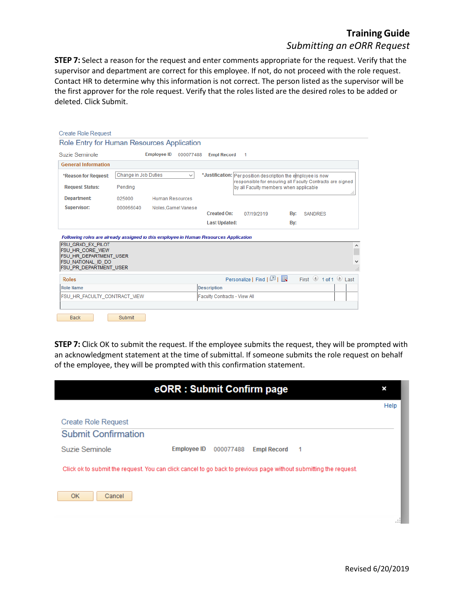## **TrainingGuide**  *Submitting an eORR Request*

**STEP 7:** Select a reason for the request and enter comments appropriate for the request. Verify that the supervisor and department are correct for this employee. If not, do not proceed with the role request. Contact HR to determine why this information is not correct. The person listed as the supervisor will be the first approver for the role request. Verify that the roles listed are the desired roles to be added or deleted. Click Submit.

| <b>Create Role Request</b>                                                           |                      |                                 |                              |                                        |                                                                                                                             |    |
|--------------------------------------------------------------------------------------|----------------------|---------------------------------|------------------------------|----------------------------------------|-----------------------------------------------------------------------------------------------------------------------------|----|
| Role Entry for Human Resources Application                                           |                      |                                 |                              |                                        |                                                                                                                             |    |
| Suzie Seminole                                                                       |                      | <b>Employee ID</b><br>000077488 | <b>Empl Record</b>           | -1                                     |                                                                                                                             |    |
| <b>General Information</b>                                                           |                      |                                 |                              |                                        |                                                                                                                             |    |
| *Reason for Request:                                                                 | Change in Job Duties | $\checkmark$                    |                              |                                        | *Justification:   Per position description the employee is now<br>responsible for ensuring all Faculty Contracts are signed |    |
| <b>Request Status:</b>                                                               | Pending              |                                 |                              | by all Faculty members when applicable |                                                                                                                             | a. |
| Department:                                                                          | 025000               | <b>Human Resources</b>          |                              |                                        |                                                                                                                             |    |
| Supervisor:                                                                          | 000066040            | Noles.Garnet Vanese             | <b>Created On:</b>           | 07/19/2019                             | Bv:<br><b>SANDRES</b>                                                                                                       |    |
|                                                                                      |                      |                                 | <b>Last Updated:</b>         |                                        | Bv:                                                                                                                         |    |
| Following roles are already assigned to this employee in Human Resources Application |                      |                                 |                              |                                        |                                                                                                                             |    |
| FSU GRAD EX PILOT<br><b>FSU HR CORE VIEW</b>                                         |                      |                                 |                              |                                        |                                                                                                                             | ∧  |
| <b>FSU HR DEPARTMENT USER</b><br>FSU NATIONAL ID DO                                  |                      |                                 |                              |                                        |                                                                                                                             |    |
| <b>FSU PR DEPARTMENT USER</b>                                                        |                      |                                 |                              |                                        |                                                                                                                             |    |
| <b>Roles</b>                                                                         |                      |                                 |                              | Personalize   Find   2                 | First $\bigcirc$ 1 of 1 $\bigcirc$ Last                                                                                     |    |
| <b>Role Name</b>                                                                     |                      |                                 | <b>Description</b>           |                                        |                                                                                                                             |    |
| FSU HR FACULTY CONTRACT VIEW                                                         |                      |                                 | Faculty Contracts - View All |                                        |                                                                                                                             |    |
|                                                                                      |                      |                                 |                              |                                        |                                                                                                                             |    |
| Back                                                                                 | Submit               |                                 |                              |                                        |                                                                                                                             |    |

**STEP 7:** Click OK to submit the request. If the employee submits the request, they will be prompted with an acknowledgment statement at the time of submittal. If someone submits the role request on behalf of the employee, they will be prompted with this confirmation statement.

|                                                                                                                  | eORR: Submit Confirm page |           |                    |                | ×    |
|------------------------------------------------------------------------------------------------------------------|---------------------------|-----------|--------------------|----------------|------|
|                                                                                                                  |                           |           |                    |                | Help |
| <b>Create Role Request</b>                                                                                       |                           |           |                    |                |      |
| <b>Submit Confirmation</b>                                                                                       |                           |           |                    |                |      |
| Suzie Seminole                                                                                                   | <b>Employee ID</b>        | 000077488 | <b>Empl Record</b> | $\overline{1}$ |      |
| Click ok to submit the request. You can click cancel to go back to previous page without submitting the request. |                           |           |                    |                |      |
| <b>OK</b><br>Cancel                                                                                              |                           |           |                    |                |      |
|                                                                                                                  |                           |           |                    |                |      |